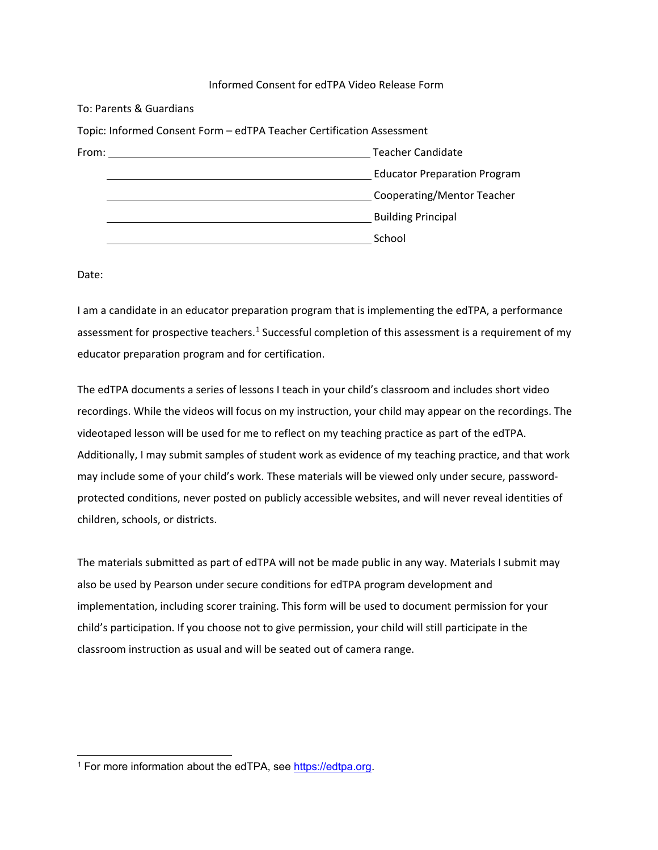## Informed Consent for edTPA Video Release Form

To: Parents & Guardians

|       | Topic: Informed Consent Form - edTPA Teacher Certification Assessment |
|-------|-----------------------------------------------------------------------|
| From: | Teacher Candidate                                                     |
|       | <b>Educator Preparation Program</b>                                   |
|       | Cooperating/Mentor Teacher                                            |
|       | <b>Building Principal</b>                                             |
|       | School                                                                |

Date:

I am a candidate in an educator preparation program that is implementing the edTPA, a performance assessment for prospective teachers.<sup>[1](#page-0-0)</sup> Successful completion of this assessment is a requirement of my educator preparation program and for certification.

The edTPA documents a series of lessons I teach in your child's classroom and includes short video recordings. While the videos will focus on my instruction, your child may appear on the recordings. The videotaped lesson will be used for me to reflect on my teaching practice as part of the edTPA. Additionally, I may submit samples of student work as evidence of my teaching practice, and that work may include some of your child's work. These materials will be viewed only under secure, passwordprotected conditions, never posted on publicly accessible websites, and will never reveal identities of children, schools, or districts.

The materials submitted as part of edTPA will not be made public in any way. Materials I submit may also be used by Pearson under secure conditions for edTPA program development and implementation, including scorer training. This form will be used to document permission for your child's participation. If you choose not to give permission, your child will still participate in the classroom instruction as usual and will be seated out of camera range.

<span id="page-0-0"></span><sup>&</sup>lt;sup>1</sup> For more information about the edTPA, see https://edtpa.org.